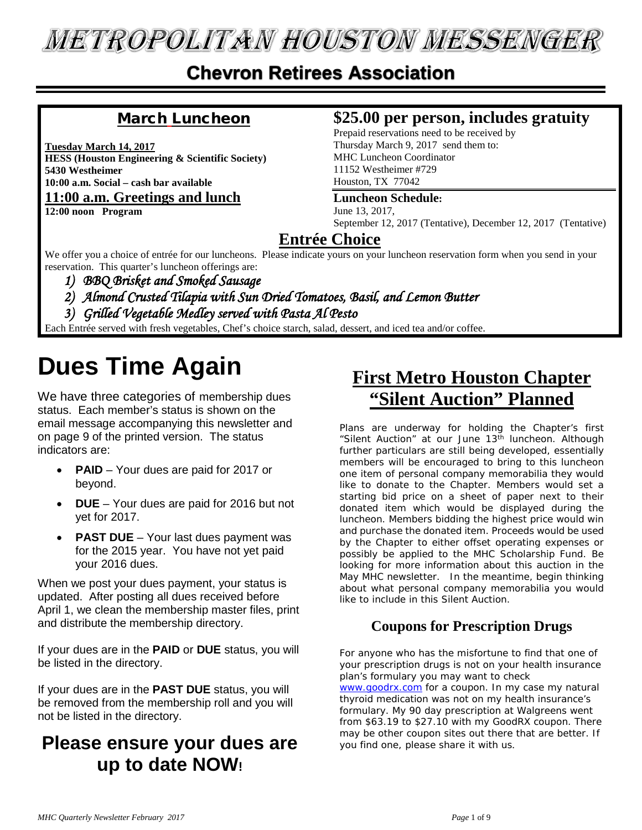# **METROPOLITAN HOUSTON MESSENGER**

### **Chevron Retirees Association**

### March Luncheon

**Tuesday March 14, 2017 HESS (Houston Engineering & Scientific Society) 5430 Westheimer 10:00 a.m. Social – cash bar available 11:00 a.m. Greetings and lunch**

**12:00 noon Program**

#### **\$25.00 per person, includes gratuity**

Prepaid reservations need to be received by Thursday March 9, 2017 send them to: MHC Luncheon Coordinator 11152 Westheimer #729 Houston, TX 77042

#### **Luncheon Schedule:**

June 13, 2017, September 12, 2017 (Tentative), December 12, 2017 (Tentative)

#### **Entrée Choice**

We offer you a choice of entrée for our luncheons. Please indicate yours on your luncheon reservation form when you send in your reservation. This quarter's luncheon offerings are:

- *1) BBQ Brisket and Smoked Sausage*
- *2) Almond Crusted Tilapia with Sun Dried Tomatoes, Basil, and Lemon Butter*
- *3) Grilled Vegetable Medley served with Pasta Al Pesto*

Each Entrée served with fresh vegetables, Chef's choice starch, salad, dessert, and iced tea and/or coffee.

# **Dues Time Again**

We have three categories of membership dues status. Each member's status is shown on the email message accompanying this newsletter and on page 9 of the printed version. The status indicators are:

- **PAID**  Your dues are paid for 2017 or beyond.
- **DUE** Your dues are paid for 2016 but not yet for 2017.
- **PAST DUE** Your last dues payment was for the 2015 year. You have not yet paid your 2016 dues.

When we post your dues payment, your status is updated. After posting all dues received before April 1, we clean the membership master files, print and distribute the membership directory.

If your dues are in the **PAID** or **DUE** status, you will be listed in the directory.

If your dues are in the **PAST DUE** status, you will be removed from the membership roll and you will not be listed in the directory.

### **Please ensure your dues are up to date NOW!**

## **First Metro Houston Chapter "Silent Auction" Planned**

Plans are underway for holding the Chapter's first "Silent Auction" at our June 13<sup>th</sup> luncheon. Although further particulars are still being developed, essentially members will be encouraged to bring to this luncheon one item of personal company memorabilia they would like to donate to the Chapter. Members would set a starting bid price on a sheet of paper next to their donated item which would be displayed during the luncheon. Members bidding the highest price would win and purchase the donated item. Proceeds would be used by the Chapter to either offset operating expenses or possibly be applied to the MHC Scholarship Fund. Be looking for more information about this auction in the May MHC newsletter. In the meantime, begin thinking about what personal company memorabilia you would like to include in this Silent Auction.

#### **Coupons for Prescription Drugs**

For anyone who has the misfortune to find that one of your prescription drugs is not on your health insurance plan's formulary you may want to check [www.goodrx.com](http://www.goodrx.com/) for a coupon. In my case my natural thyroid medication was not on my health insurance's formulary. My 90 day prescription at Walgreens went from \$63.19 to \$27.10 with my GoodRX coupon. There may be other coupon sites out there that are better. If you find one, please share it with us.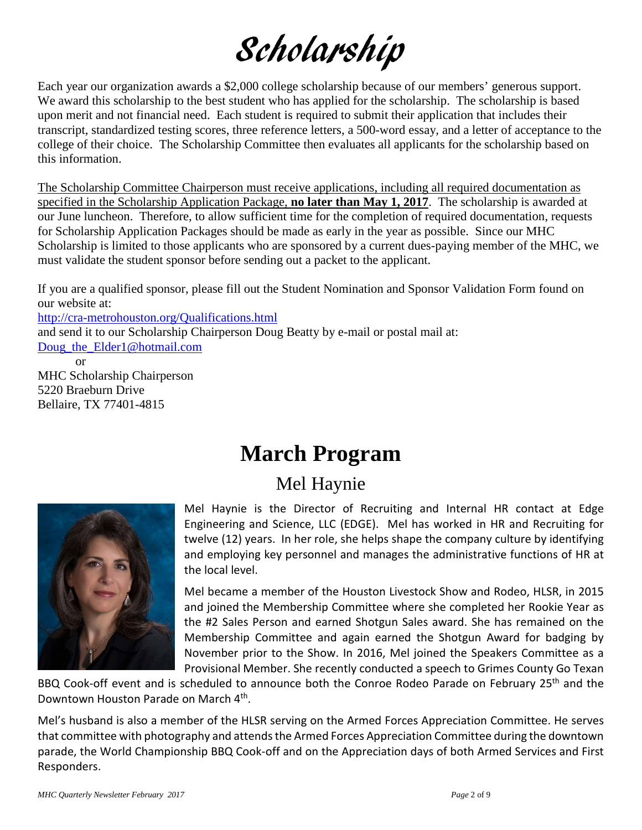# Scholarship

Each year our organization awards a \$2,000 college scholarship because of our members' generous support. We award this scholarship to the best student who has applied for the scholarship. The scholarship is based upon merit and not financial need. Each student is required to submit their application that includes their transcript, standardized testing scores, three reference letters, a 500-word essay, and a letter of acceptance to the college of their choice. The Scholarship Committee then evaluates all applicants for the scholarship based on this information.

The Scholarship Committee Chairperson must receive applications, including all required documentation as specified in the Scholarship Application Package, **no later than May 1, 2017**. The scholarship is awarded at our June luncheon. Therefore, to allow sufficient time for the completion of required documentation, requests for Scholarship Application Packages should be made as early in the year as possible. Since our MHC Scholarship is limited to those applicants who are sponsored by a current dues-paying member of the MHC, we must validate the student sponsor before sending out a packet to the applicant.

If you are a qualified sponsor, please fill out the Student Nomination and Sponsor Validation Form found on our website at: <http://cra-metrohouston.org/Qualifications.html> and send it to our Scholarship Chairperson Doug Beatty by e-mail or postal mail at: [Doug\\_the\\_Elder1@hotmail.com](mailto:Doug_the_Elder1@hotmail.com) or

MHC Scholarship Chairperson 5220 Braeburn Drive Bellaire, TX 77401-4815

# **March Program**

## Mel Haynie



Mel Haynie is the Director of Recruiting and Internal HR contact at Edge Engineering and Science, LLC (EDGE). Mel has worked in HR and Recruiting for twelve (12) years. In her role, she helps shape the company culture by identifying and employing key personnel and manages the administrative functions of HR at the local level.

Mel became a member of the Houston Livestock Show and Rodeo, HLSR, in 2015 and joined the Membership Committee where she completed her Rookie Year as the #2 Sales Person and earned Shotgun Sales award. She has remained on the Membership Committee and again earned the Shotgun Award for badging by November prior to the Show. In 2016, Mel joined the Speakers Committee as a Provisional Member. She recently conducted a speech to Grimes County Go Texan

BBQ Cook-off event and is scheduled to announce both the Conroe Rodeo Parade on February 25<sup>th</sup> and the Downtown Houston Parade on March 4th.

Mel's husband is also a member of the HLSR serving on the Armed Forces Appreciation Committee. He serves that committee with photography and attends the Armed Forces Appreciation Committee during the downtown parade, the World Championship BBQ Cook-off and on the Appreciation days of both Armed Services and First Responders.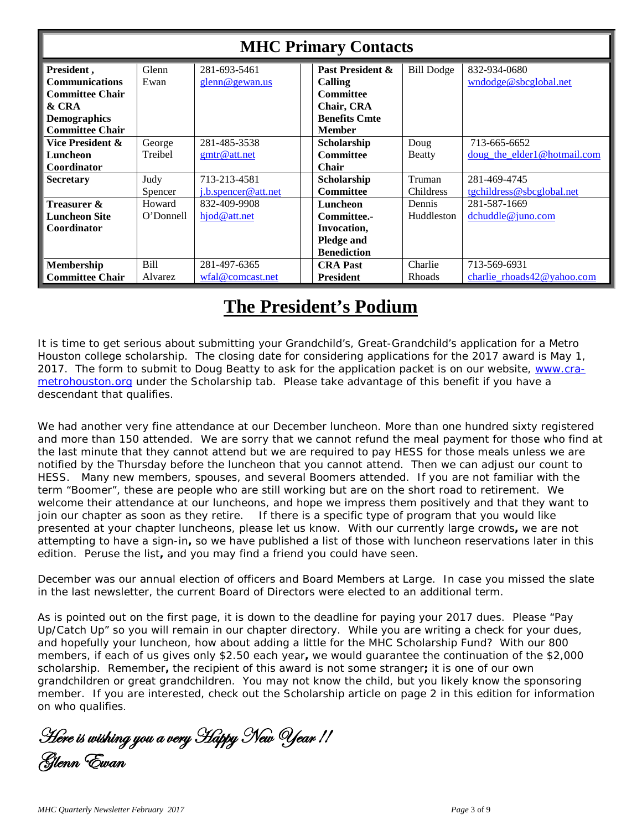| <b>MHC Primary Contacts</b>                   |                                |                                                     |                                             |                                          |                                                                   |
|-----------------------------------------------|--------------------------------|-----------------------------------------------------|---------------------------------------------|------------------------------------------|-------------------------------------------------------------------|
| President,<br><b>Communications</b>           | Glenn<br>Ewan                  | 281-693-5461<br>glenn@gewan.us                      | Past President &<br>Calling                 | <b>Bill Dodge</b>                        | 832-934-0680<br>wndodge@sbcglobal.net                             |
| <b>Committee Chair</b><br>& CRA               |                                |                                                     | <b>Committee</b><br>Chair, CRA              |                                          |                                                                   |
| <b>Demographics</b><br><b>Committee Chair</b> |                                |                                                     | <b>Benefits Cmte</b><br><b>Member</b>       |                                          |                                                                   |
| Vice President &<br>Luncheon                  | George<br>Treibel              | 281-485-3538<br>gmtr@att.net                        | Scholarship<br><b>Committee</b>             | Doug<br><b>Beatty</b>                    | 713-665-6652<br><u>doug</u> the elder1@hotmail.com                |
| Coordinator<br><b>Secretary</b>               | Judy                           | 713-213-4581                                        | <b>Chair</b><br>Scholarship                 | Truman                                   | 281-469-4745                                                      |
| Treasurer &<br><b>Luncheon Site</b>           | Spencer<br>Howard<br>O'Donnell | j.b.spencer@att.net<br>832-409-9908<br>hjod@att.net | <b>Committee</b><br>Luncheon<br>Committee.- | <b>Childress</b><br>Dennis<br>Huddleston | tgchildress@sbcglobal.net<br>281-587-1669<br>$d$ chuddle@juno.com |
| Coordinator                                   |                                |                                                     | Invocation,<br>Pledge and                   |                                          |                                                                   |
| Membership                                    | Bill                           | 281-497-6365                                        | <b>Benediction</b><br><b>CRA Past</b>       | Charlie                                  | 713-569-6931                                                      |
| <b>Committee Chair</b>                        | Alvarez                        | wfal@comcast.net                                    | <b>President</b>                            | Rhoads                                   | charlie $r$ hoads $42@$ vahoo.com                                 |

## **The President's Podium**

It is time to get serious about submitting your Grandchild's, Great-Grandchild's application for a Metro Houston college scholarship. The closing date for considering applications for the 2017 award is May 1, 2017. The form to submit to Doug Beatty to ask for the application packet is on our website, [www.cra](http://www.cra-metrohouston.org/)[metrohouston.org](http://www.cra-metrohouston.org/) under the Scholarship tab. Please take advantage of this benefit if you have a descendant that qualifies.

We had another very fine attendance at our December luncheon. More than one hundred sixty registered and more than 150 attended. We are sorry that we cannot refund the meal payment for those who find at the last minute that they cannot attend but we are required to pay HESS for those meals unless we are notified by the Thursday before the luncheon that you cannot attend. Then we can adjust our count to HESS. Many new members, spouses, and several Boomers attended. If you are not familiar with the term "Boomer", these are people who are still working but are on the short road to retirement. We welcome their attendance at our luncheons, and hope we impress them positively and that they want to join our chapter as soon as they retire. If there is a specific type of program that you would like presented at your chapter luncheons, please let us know. With our currently large crowds**,** we are not attempting to have a sign-in**,** so we have published a list of those with luncheon reservations later in this edition. Peruse the list**,** and you may find a friend you could have seen.

December was our annual election of officers and Board Members at Large. In case you missed the slate in the last newsletter, the current Board of Directors were elected to an additional term.

As is pointed out on the first page, it is down to the deadline for paying your 2017 dues. Please "Pay Up/Catch Up" so you will remain in our chapter directory. While you are writing a check for your dues, and hopefully your luncheon, how about adding a little for the MHC Scholarship Fund? With our 800 members, if each of us gives only \$2.50 each year**,** we would guarantee the continuation of the \$2,000 scholarship. Remember**,** the recipient of this award is not some stranger**;** it is one of our own grandchildren or great grandchildren. You may not know the child, but you likely know the sponsoring member. If you are interested, check out the Scholarship article on page 2 in this edition for information on who qualifies.

Here is wishing you a very Happy New Year !! Glenn Ewan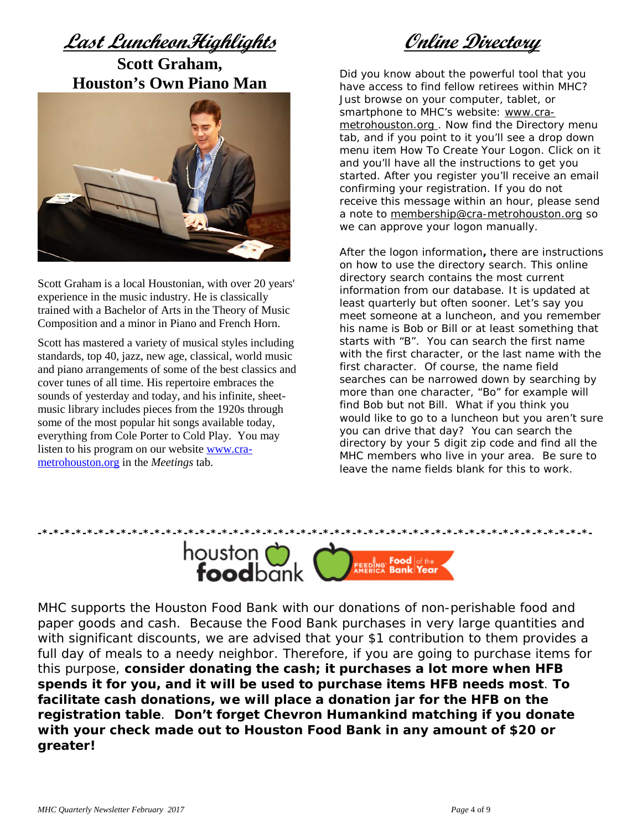**Last LuncheonHighlights Scott Graham, Houston's Own Piano Man**



Scott Graham is a local Houstonian, with over 20 years' experience in the music industry. He is classically trained with a Bachelor of Arts in the Theory of Music Composition and a minor in Piano and French Horn.

Scott has mastered a variety of musical styles including standards, top 40, jazz, new age, classical, world music and piano arrangements of some of the best classics and cover tunes of all time. His repertoire embraces the sounds of yesterday and today, and his infinite, sheetmusic library includes pieces from the 1920s through some of the most popular hit songs available today, everything from Cole Porter to Cold Play. You may listen to his program on our website [www.cra](http://www.cra-metrohouston.org/)[metrohouston.org](http://www.cra-metrohouston.org/) in the *Meetings* tab.

**Online Directory**

Did you know about the powerful tool that you have access to find fellow retirees within MHC? Just browse on your computer, tablet, or smartphone to MHC's website: [www.cra](http://www.cra-metrohouston.org/)[metrohouston.org](http://www.cra-metrohouston.org/). Now find the Directory menu tab, and if you point to it you'll see a drop down menu item How To Create Your Logon. Click on it and you'll have all the instructions to get you started. After you register you'll receive an email confirming your registration. If you do not receive this message within an hour, please send a note to [membership@cra-metrohouston.org](mailto:membership@cra-metrohouston.org) so we can approve your logon manually.

After the logon information**,** there are instructions on how to use the directory search. This online directory search contains the most current information from our database. It is updated at least quarterly but often sooner. Let's say you meet someone at a luncheon, and you remember his name is Bob or Bill or at least something that starts with "B". You can search the first name with the first character, or the last name with the first character. Of course, the name field searches can be narrowed down by searching by more than one character, "Bo" for example will find Bob but not Bill. What if you think you would like to go to a luncheon but you aren't sure you can drive that day? You can search the directory by your 5 digit zip code and find all the MHC members who live in your area. Be sure to leave the name fields blank for this to work.



MHC supports the Houston Food Bank with our donations of non-perishable food and paper goods and cash. Because the Food Bank purchases in very large quantities and with significant discounts, we are advised that your \$1 contribution to them provides a full day of meals to a needy neighbor. Therefore, if you are going to purchase items for this purpose, **consider donating the cash; it purchases a lot more when HFB spends it for you, and it will be used to purchase items HFB needs most**. **To facilitate cash donations, we will place a donation jar for the HFB on the registration table**. **Don't forget Chevron Humankind matching if you donate with your check made out to Houston Food Bank in any amount of \$20 or greater!**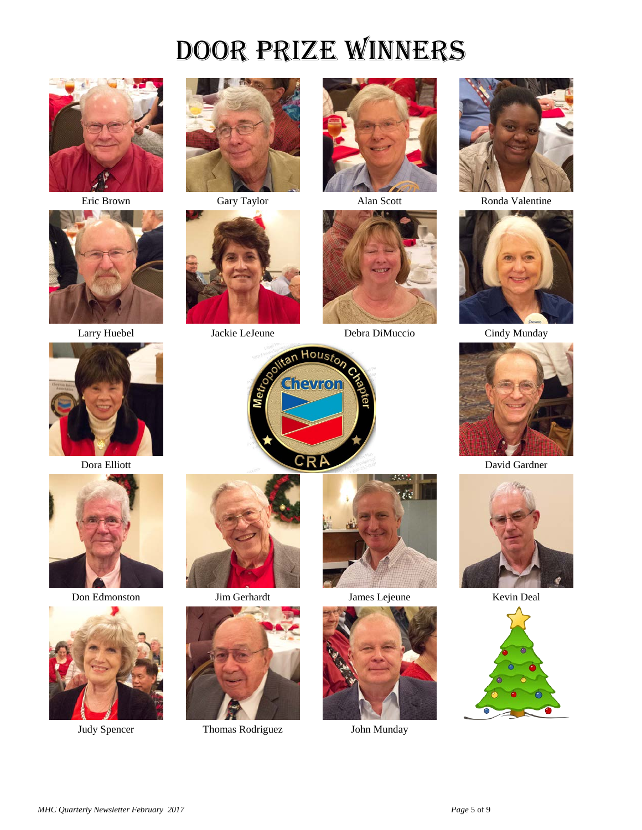# Door Prize Winners









Don Edmonston Jim Gerhardt James Lejeune Kevin Deal











Larry Huebel Jackie LeJeune Debra DiMuccio Cindy Munday



Eric Brown Gary Taylor Alan Scott Ronda Valentine















Judy Spencer Thomas Rodriguez John Munday



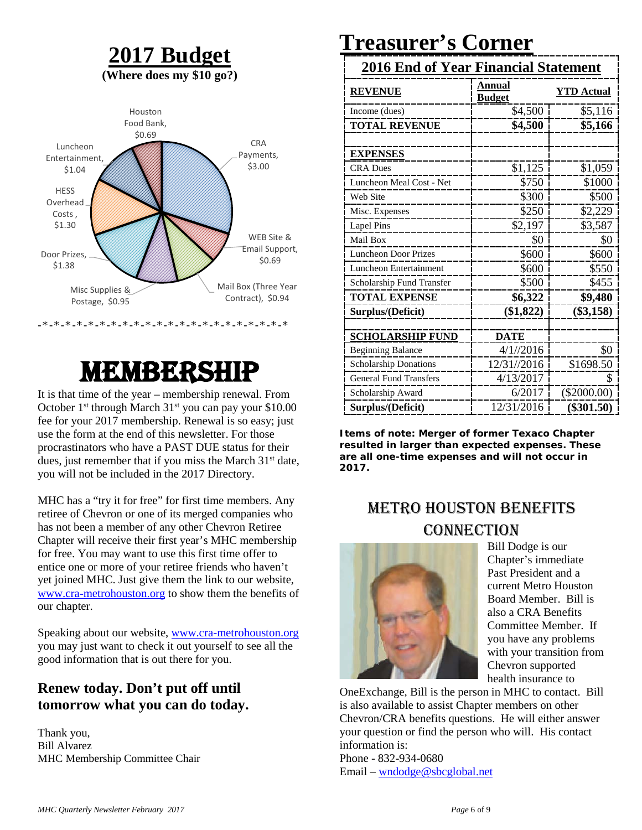### **2017 Budget (Where does my \$10 go?)**



# Membership

It is that time of the year – membership renewal. From October 1<sup>st</sup> through March 31<sup>st</sup> you can pay your \$10.00 fee for your 2017 membership. Renewal is so easy; just use the form at the end of this newsletter. For those procrastinators who have a PAST DUE status for their dues, just remember that if you miss the March 31<sup>st</sup> date, you will not be included in the 2017 Directory.

MHC has a "try it for free" for first time members. Any retiree of Chevron or one of its merged companies who has not been a member of any other Chevron Retiree Chapter will receive their first year's MHC membership for free. You may want to use this first time offer to entice one or more of your retiree friends who haven't yet joined MHC. Just give them the link to our website, [www.cra-metrohouston.org](http://www.cra-metrohouston.org/) to show them the benefits of our chapter.

Speaking about our website, [www.cra-metrohouston.org](http://www.cra-metrohouston.org/) you may just want to check it out yourself to see all the good information that is out there for you.

#### **Renew today. Don't put off until tomorrow what you can do today.**

Thank you, Bill Alvarez MHC Membership Committee Chair

# **Treasurer's Corner**

| <b>2016 End of Year Financial Statement</b> |                         |                   |  |
|---------------------------------------------|-------------------------|-------------------|--|
| <b>REVENUE</b>                              | Annual<br><b>Budget</b> | <b>YTD Actual</b> |  |
| Income (dues)                               | \$4,500                 | \$5,116           |  |
| <b>TOTAL REVENUE</b>                        | \$4,500                 | \$5,166           |  |
|                                             |                         |                   |  |
| <b>EXPENSES</b>                             |                         |                   |  |
| <b>CRA Dues</b>                             | \$1,125                 | \$1,059           |  |
| Luncheon Meal Cost - Net                    | \$750                   | \$1000            |  |
| Web Site                                    | \$300                   | \$500             |  |
| Misc. Expenses                              | \$250                   | \$2,229           |  |
| <b>Lapel Pins</b>                           | \$2,197                 | \$3,587           |  |
| Mail Box                                    | \$0                     | \$0               |  |
| <b>Luncheon Door Prizes</b>                 | \$600                   | \$600             |  |
| Luncheon Entertainment                      | \$600                   | \$550             |  |
| Scholarship Fund Transfer                   | \$500                   | \$455             |  |
| <b>TOTAL EXPENSE</b>                        | \$6,322                 | \$9,480           |  |
| Surplus/(Deficit)                           | (\$1,822)               | $(\$3,158)$       |  |
|                                             |                         |                   |  |
| <b>SCHOLARSHIP FUND</b>                     | <b>DATE</b>             |                   |  |
| <b>Beginning Balance</b>                    | 4/1//2016               | \$0               |  |
| <b>Scholarship Donations</b>                | 12/31//2016             | \$1698.50         |  |
| <b>General Fund Transfers</b>               | 4/13/2017               | S                 |  |
| Scholarship Award                           | 6/2017                  | $(\$2000.00)$     |  |
| Surplus/(Deficit)                           | 12/31/2016              | $(\$301.50)$      |  |

**Items of note: Merger of former Texaco Chapter resulted in larger than expected expenses. These are all one-time expenses and will not occur in 2017.**

### Metro Houston Benefits **CONNECTION**



Bill Dodge is our Chapter's immediate Past President and a current Metro Houston Board Member. Bill is also a CRA Benefits Committee Member. If you have any problems with your transition from Chevron supported health insurance to

OneExchange, Bill is the person in MHC to contact. Bill is also available to assist Chapter members on other Chevron/CRA benefits questions. He will either answer your question or find the person who will. His contact information is:

Phone - 832-934-0680 Email – [wndodge@sbcglobal.net](mailto:wndodge@sbcglobal.net)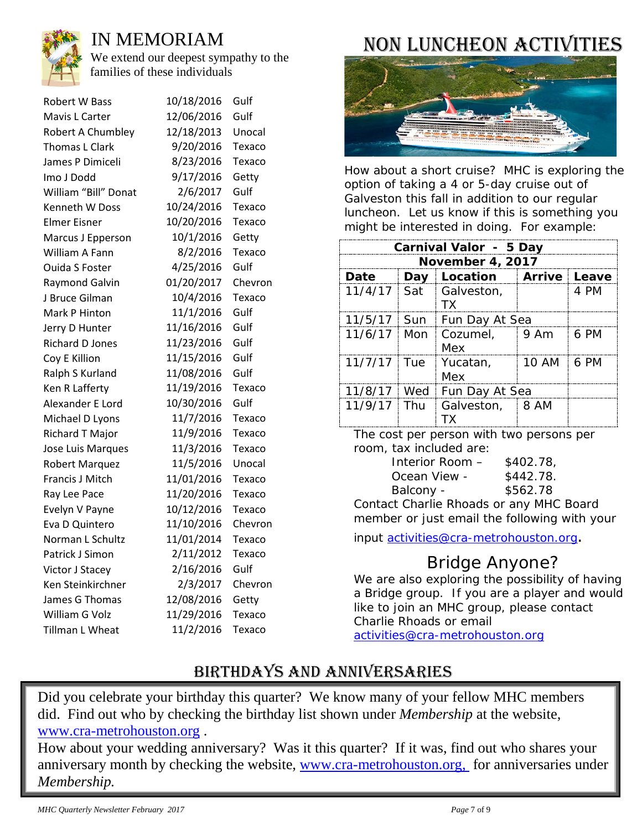

### IN MEMORIAM

We extend our deepest sympathy to the families of these individuals

| <b>Robert W Bass</b>     | 10/18/2016 | Gulf    |
|--------------------------|------------|---------|
| Mavis L Carter           | 12/06/2016 | Gulf    |
| <b>Robert A Chumbley</b> | 12/18/2013 | Unocal  |
| Thomas L Clark           | 9/20/2016  | Texaco  |
| James P Dimiceli         | 8/23/2016  | Texaco  |
| Imo J Dodd               | 9/17/2016  | Getty   |
| William "Bill" Donat     | 2/6/2017   | Gulf    |
| Kenneth W Doss           | 10/24/2016 | Texaco  |
| <b>Elmer Eisner</b>      | 10/20/2016 | Texaco  |
| Marcus J Epperson        | 10/1/2016  | Getty   |
| William A Fann           | 8/2/2016   | Texaco  |
| <b>Ouida S Foster</b>    | 4/25/2016  | Gulf    |
| Raymond Galvin           | 01/20/2017 | Chevron |
| J Bruce Gilman           | 10/4/2016  | Texaco  |
| Mark P Hinton            | 11/1/2016  | Gulf    |
| Jerry D Hunter           | 11/16/2016 | Gulf    |
| <b>Richard D Jones</b>   | 11/23/2016 | Gulf    |
| Coy E Killion            | 11/15/2016 | Gulf    |
| Ralph S Kurland          | 11/08/2016 | Gulf    |
| Ken R Lafferty           | 11/19/2016 | Texaco  |
| Alexander E Lord         | 10/30/2016 | Gulf    |
| Michael D Lyons          | 11/7/2016  | Texaco  |
| Richard T Major          | 11/9/2016  | Texaco  |
| Jose Luis Marques        | 11/3/2016  | Texaco  |
| <b>Robert Marquez</b>    | 11/5/2016  | Unocal  |
| Francis J Mitch          | 11/01/2016 | Texaco  |
| Ray Lee Pace             | 11/20/2016 | Texaco  |
| Evelyn V Payne           | 10/12/2016 | Texaco  |
| Eva D Quintero           | 11/10/2016 | Chevron |
| Norman L Schultz         | 11/01/2014 | Texaco  |
| Patrick J Simon          | 2/11/2012  | Texaco  |
| Victor J Stacey          | 2/16/2016  | Gulf    |
| Ken Steinkirchner        | 2/3/2017   | Chevron |
| James G Thomas           | 12/08/2016 | Getty   |
| William G Volz           | 11/29/2016 | Texaco  |
| Tillman L Wheat          | 11/2/2016  | Texaco  |

## Non Luncheon Activities



How about a short cruise? MHC is exploring the option of taking a 4 or 5-day cruise out of Galveston this fall in addition to our regular luncheon. Let us know if this is something you might be interested in doing. For example:

| Carnival Valor - 5 Day |       |                           |                    |      |
|------------------------|-------|---------------------------|--------------------|------|
| November 4, 2017       |       |                           |                    |      |
| Date                   | Day   | Location   Arrive   Leave |                    |      |
| $11/4/17$ Sat          |       | Galveston,<br><b>TX</b>   |                    | 4 PM |
| $11/5/17$ Sun          |       | Fun Day At Sea            |                    |      |
| $11/6/17$ Mon          |       | Cozumel,<br>Mex           | $\frac{1}{2}$ 9 Am | 6 PM |
| $11/7/17$ Tue          |       | Yucatan,<br>Mex           | 10 AM              | 6 PM |
| 11/8/17                | Wed   | Fun Day At Sea            |                    |      |
| 11/9/17                | i Thu | Galveston, 8 AM<br>ТΧ     |                    |      |

The cost per person with two persons per room, tax included are:

| Interior Room - | \$402.78  |
|-----------------|-----------|
| Ocean View -    | \$442.78. |
| Balcony -       | \$562.78  |

Contact Charlie Rhoads or any MHC Board member or just email the following with your

input [activities@cra-metrohouston.org.](mailto:activities@cra-metrohouston.org)

### Bridge Anyone?

We are also exploring the possibility of having a Bridge group. If you are a player and would like to join an MHC group, please contact Charlie Rhoads or email [activities@cra-metrohouston.org](mailto:activities@cra-metrohouston.org)

### BIRTHDAYS AND ANNIVERSARIES

Did you celebrate your birthday this quarter? We know many of your fellow MHC members did. Find out who by checking the birthday list shown under *Membership* at the website, [www.cra-metrohouston.org](http://www.cra-metrohouston.org/) .

How about your wedding anniversary? Was it this quarter? If it was, find out who shares your anniversary month by checking the website, [www.cra-metrohouston.org,](http://www.cra-metrohouston.org/) for anniversaries under *Membership.*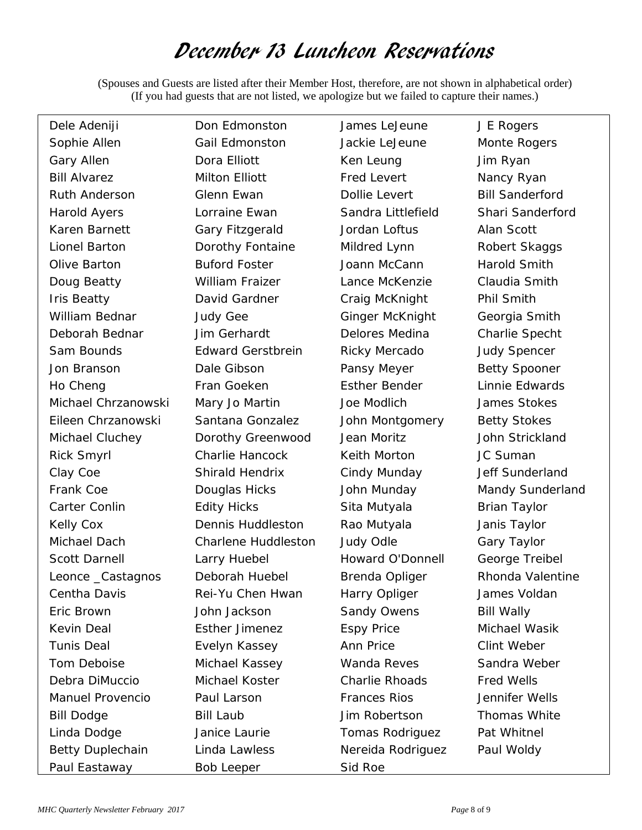## December 13 Luncheon Reservations

(Spouses and Guests are listed after their Member Host, therefore, are not shown in alphabetical order) (If you had guests that are not listed, we apologize but we failed to capture their names.)

| Dele Adeniji            | Don Edmonston            | James LeJeune           | J E Rogers             |
|-------------------------|--------------------------|-------------------------|------------------------|
| Sophie Allen            | Gail Edmonston           | Jackie LeJeune          | Monte Rogers           |
| Gary Allen              | Dora Elliott             | Ken Leung               | Jim Ryan               |
| <b>Bill Alvarez</b>     | Milton Elliott           | <b>Fred Levert</b>      | Nancy Ryan             |
| <b>Ruth Anderson</b>    | Glenn Ewan               | Dollie Levert           | <b>Bill Sanderford</b> |
| <b>Harold Ayers</b>     | Lorraine Ewan            | Sandra Littlefield      | Shari Sanderford       |
| Karen Barnett           | Gary Fitzgerald          | Jordan Loftus           | Alan Scott             |
| Lionel Barton           | Dorothy Fontaine         | Mildred Lynn            | Robert Skaggs          |
| Olive Barton            | <b>Buford Foster</b>     | Joann McCann            | Harold Smith           |
| Doug Beatty             | William Fraizer          | Lance McKenzie          | Claudia Smith          |
| <b>Iris Beatty</b>      | David Gardner            | Craig McKnight          | Phil Smith             |
| William Bednar          | <b>Judy Gee</b>          | Ginger McKnight         | Georgia Smith          |
| Deborah Bednar          | Jim Gerhardt             | Delores Medina          | Charlie Specht         |
| Sam Bounds              | <b>Edward Gerstbrein</b> | Ricky Mercado           | <b>Judy Spencer</b>    |
| Jon Branson             | Dale Gibson              | Pansy Meyer             | <b>Betty Spooner</b>   |
| Ho Cheng                | Fran Goeken              | <b>Esther Bender</b>    | Linnie Edwards         |
| Michael Chrzanowski     | Mary Jo Martin           | Joe Modlich             | James Stokes           |
| Eileen Chrzanowski      | Santana Gonzalez         | John Montgomery         | <b>Betty Stokes</b>    |
| Michael Cluchey         | Dorothy Greenwood        | Jean Moritz             | John Strickland        |
| <b>Rick Smyrl</b>       | Charlie Hancock          | Keith Morton            | JC Suman               |
| Clay Coe                | <b>Shirald Hendrix</b>   | Cindy Munday            | Jeff Sunderland        |
| Frank Coe               | Douglas Hicks            | John Munday             | Mandy Sunderland       |
| Carter Conlin           | <b>Edity Hicks</b>       | Sita Mutyala            | <b>Brian Taylor</b>    |
| Kelly Cox               | <b>Dennis Huddleston</b> | Rao Mutyala             | Janis Taylor           |
| Michael Dach            | Charlene Huddleston      | Judy Odle               | Gary Taylor            |
| <b>Scott Darnell</b>    | Larry Huebel             | <b>Howard O'Donnell</b> | George Treibel         |
| Leonce _Castagnos       | Deborah Huebel           | Brenda Opliger          | Rhonda Valentine       |
| Centha Davis            | Rei-Yu Chen Hwan         | Harry Opliger           | James Voldan           |
| Eric Brown              | John Jackson             | Sandy Owens             | <b>Bill Wally</b>      |
| Kevin Deal              | <b>Esther Jimenez</b>    | <b>Espy Price</b>       | Michael Wasik          |
| <b>Tunis Deal</b>       | Evelyn Kassey            | Ann Price               | Clint Weber            |
| Tom Deboise             | Michael Kassey           | Wanda Reves             | Sandra Weber           |
| Debra DiMuccio          | Michael Koster           | <b>Charlie Rhoads</b>   | <b>Fred Wells</b>      |
| <b>Manuel Provencio</b> | Paul Larson              | <b>Frances Rios</b>     | Jennifer Wells         |
| <b>Bill Dodge</b>       | <b>Bill Laub</b>         | Jim Robertson           | Thomas White           |
| Linda Dodge             | Janice Laurie            | Tomas Rodriguez         | Pat Whitnel            |
| <b>Betty Duplechain</b> | Linda Lawless            | Nereida Rodriguez       | Paul Woldy             |
| Paul Eastaway           | Bob Leeper               | Sid Roe                 |                        |